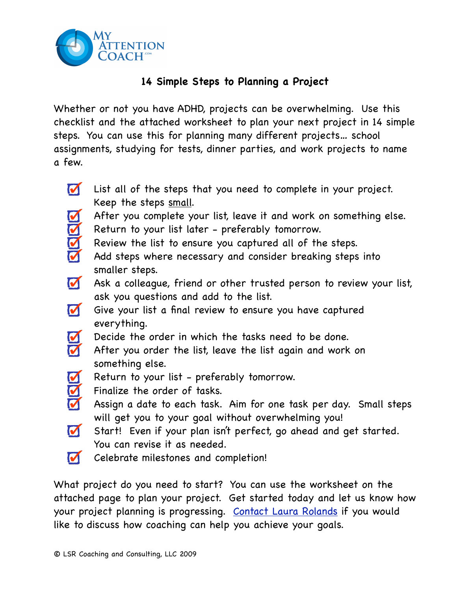

## **14 Simple Steps to Planning a Project**

Whether or not you have ADHD, projects can be overwhelming. Use this checklist and the attached worksheet to plan your next project in 14 simple steps. You can use this for planning many different projects… school assignments, studying for tests, dinner parties, and work projects to name a few.

- $\blacksquare$ List all of the steps that you need to complete in your project. Keep the steps small. After you complete your list, leave it and work on something else. RRR Return to your list later - preferably tomorrow. Review the list to ensure you captured all of the steps. Add steps where necessary and consider breaking steps into smaller steps.  $\blacksquare$ Ask a colleague, friend or other trusted person to review your list, ask you questions and add to the list.  $\blacksquare$ Give your list a final review to ensure you have captured everything. RR Decide the order in which the tasks need to be done.
	- After you order the list, leave the list again and work on something else.
	- Return to your list preferably tomorrow.
	- Finalize the order of tasks.
- RRR Assign a date to each task. Aim for one task per day. Small steps will get you to your goal without overwhelming you!
- Start! Even if your plan isn't perfect, go ahead and get started. You can revise it as needed.
- $\blacksquare$ Celebrate milestones and completion!

What project do you need to start? You can use the worksheet on the attached page to plan your project. Get started today and let us know how your project planning is progressing. [Contact Laura Rolands](http://myattentioncoach.com/contact-us/) if you would like to discuss how coaching can help you achieve your goals.